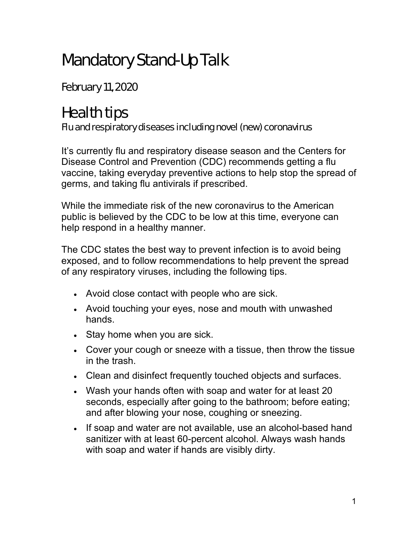## Mandatory Stand-Up Talk

February 11, 2020

## Health tips

## Flu and respiratory diseases including novel (new) coronavirus

It's currently flu and respiratory disease season and the Centers for Disease Control and Prevention (CDC) recommends getting a flu vaccine, taking everyday preventive actions to help stop the spread of germs, and taking flu antivirals if prescribed.

While the immediate risk of the new coronavirus to the American public is believed by the CDC to be low at this time, everyone can help respond in a healthy manner.

The CDC states the best way to prevent infection is to avoid being exposed, and to follow recommendations to help prevent the spread of any respiratory viruses, including the following tips.

- Avoid close contact with people who are sick.
- Avoid touching your eyes, nose and mouth with unwashed hands.
- Stay home when you are sick.
- Cover your cough or sneeze with a tissue, then throw the tissue in the trash.
- Clean and disinfect frequently touched objects and surfaces.
- Wash your hands often with soap and water for at least 20 seconds, especially after going to the bathroom; before eating; and after blowing your nose, coughing or sneezing.
- If soap and water are not available, use an alcohol-based hand sanitizer with at least 60-percent alcohol. Always wash hands with soap and water if hands are visibly dirty.